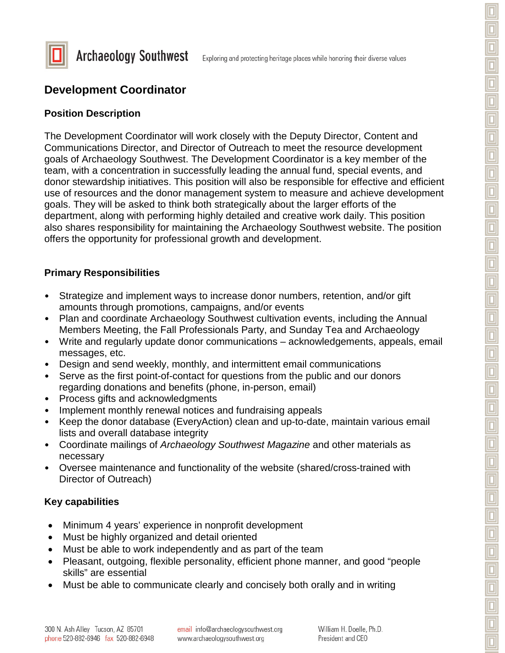



**Archaeology Southwest** 

# **Development Coordinator**

#### **Position Description**

The Development Coordinator will work closely with the Deputy Director, Content and Communications Director, and Director of Outreach to meet the resource development goals of Archaeology Southwest. The Development Coordinator is a key member of the team, with a concentration in successfully leading the annual fund, special events, and donor stewardship initiatives. This position will also be responsible for effective and efficient use of resources and the donor management system to measure and achieve development goals. They will be asked to think both strategically about the larger efforts of the department, along with performing highly detailed and creative work daily. This position also shares responsibility for maintaining the Archaeology Southwest website. The position offers the opportunity for professional growth and development.

### **Primary Responsibilities**

- Strategize and implement ways to increase donor numbers, retention, and/or gift amounts through promotions, campaigns, and/or events
- Plan and coordinate Archaeology Southwest cultivation events, including the Annual Members Meeting, the Fall Professionals Party, and Sunday Tea and Archaeology
- Write and regularly update donor communications acknowledgements, appeals, email messages, etc.
- Design and send weekly, monthly, and intermittent email communications
- Serve as the first point-of-contact for questions from the public and our donors regarding donations and benefits (phone, in-person, email)
- Process gifts and acknowledgments
- Implement monthly renewal notices and fundraising appeals
- Keep the donor database (EveryAction) clean and up-to-date, maintain various email lists and overall database integrity
- Coordinate mailings of *Archaeology Southwest Magazine* and other materials as necessary
- Oversee maintenance and functionality of the website (shared/cross-trained with Director of Outreach)

### **Key capabilities**

- Minimum 4 years' experience in nonprofit development
- Must be highly organized and detail oriented
- Must be able to work independently and as part of the team
- Pleasant, outgoing, flexible personality, efficient phone manner, and good "people skills" are essential
- Must be able to communicate clearly and concisely both orally and in writing